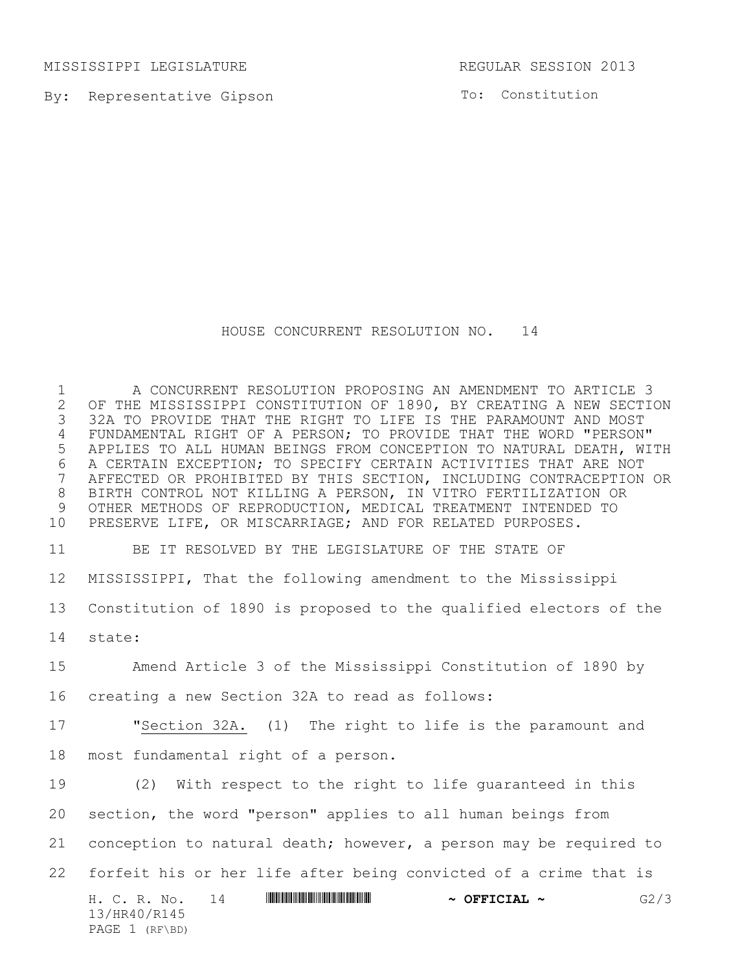MISSISSIPPI LEGISLATURE REGULAR SESSION 2013

PAGE 1 (RF\BD)

By: Representative Gipson

To: Constitution

HOUSE CONCURRENT RESOLUTION NO. 14

H. C. R. No. 14 \*HR40/R145\* **~ OFFICIAL ~** G2/3 13/HR40/R145 A CONCURRENT RESOLUTION PROPOSING AN AMENDMENT TO ARTICLE 3 2 OF THE MISSISSIPPI CONSTITUTION OF 1890, BY CREATING A NEW SECTION<br>3 32A TO PROVIDE THAT THE RIGHT TO LIFE IS THE PARAMOUNT AND MOST 32A TO PROVIDE THAT THE RIGHT TO LIFE IS THE PARAMOUNT AND MOST FUNDAMENTAL RIGHT OF A PERSON; TO PROVIDE THAT THE WORD "PERSON" APPLIES TO ALL HUMAN BEINGS FROM CONCEPTION TO NATURAL DEATH, WITH 6 A CERTAIN EXCEPTION; TO SPECIFY CERTAIN ACTIVITIES THAT ARE NOT<br>7 AFFECTED OR PROHIBITED BY THIS SECTION, INCLUDING CONTRACEPTION AFFECTED OR PROHIBITED BY THIS SECTION, INCLUDING CONTRACEPTION OR BIRTH CONTROL NOT KILLING A PERSON, IN VITRO FERTILIZATION OR 9 OTHER METHODS OF REPRODUCTION, MEDICAL TREATMENT INTENDED TO<br>10 PRESERVE LIFE, OR MISCARRIAGE; AND FOR RELATED PURPOSES. PRESERVE LIFE, OR MISCARRIAGE; AND FOR RELATED PURPOSES. BE IT RESOLVED BY THE LEGISLATURE OF THE STATE OF MISSISSIPPI, That the following amendment to the Mississippi Constitution of 1890 is proposed to the qualified electors of the state: Amend Article 3 of the Mississippi Constitution of 1890 by creating a new Section 32A to read as follows: "Section 32A. (1) The right to life is the paramount and most fundamental right of a person. (2) With respect to the right to life guaranteed in this section, the word "person" applies to all human beings from conception to natural death; however, a person may be required to forfeit his or her life after being convicted of a crime that is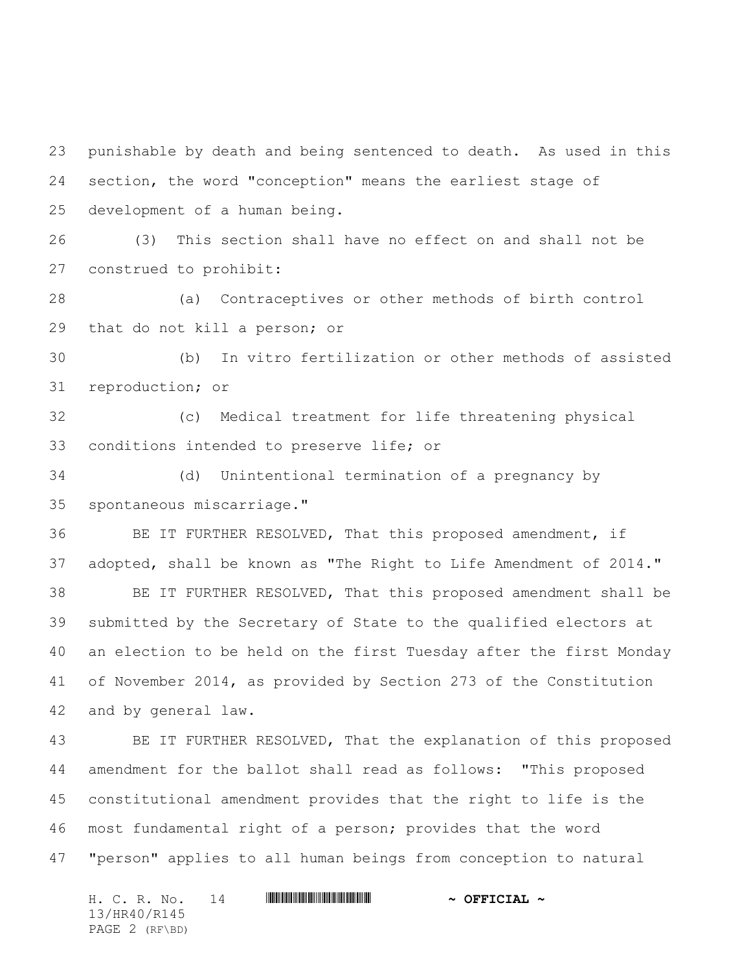punishable by death and being sentenced to death. As used in this section, the word "conception" means the earliest stage of development of a human being. (3) This section shall have no effect on and shall not be construed to prohibit:

 (a) Contraceptives or other methods of birth control that do not kill a person; or

 (b) In vitro fertilization or other methods of assisted reproduction; or

 (c) Medical treatment for life threatening physical conditions intended to preserve life; or

 (d) Unintentional termination of a pregnancy by spontaneous miscarriage."

 BE IT FURTHER RESOLVED, That this proposed amendment, if adopted, shall be known as "The Right to Life Amendment of 2014." BE IT FURTHER RESOLVED, That this proposed amendment shall be submitted by the Secretary of State to the qualified electors at an election to be held on the first Tuesday after the first Monday of November 2014, as provided by Section 273 of the Constitution and by general law.

 BE IT FURTHER RESOLVED, That the explanation of this proposed amendment for the ballot shall read as follows: "This proposed constitutional amendment provides that the right to life is the most fundamental right of a person; provides that the word "person" applies to all human beings from conception to natural

H. C. R. No. 14 \*HR40/R145\* **~ OFFICIAL ~** 13/HR40/R145 PAGE 2 (RF\BD)